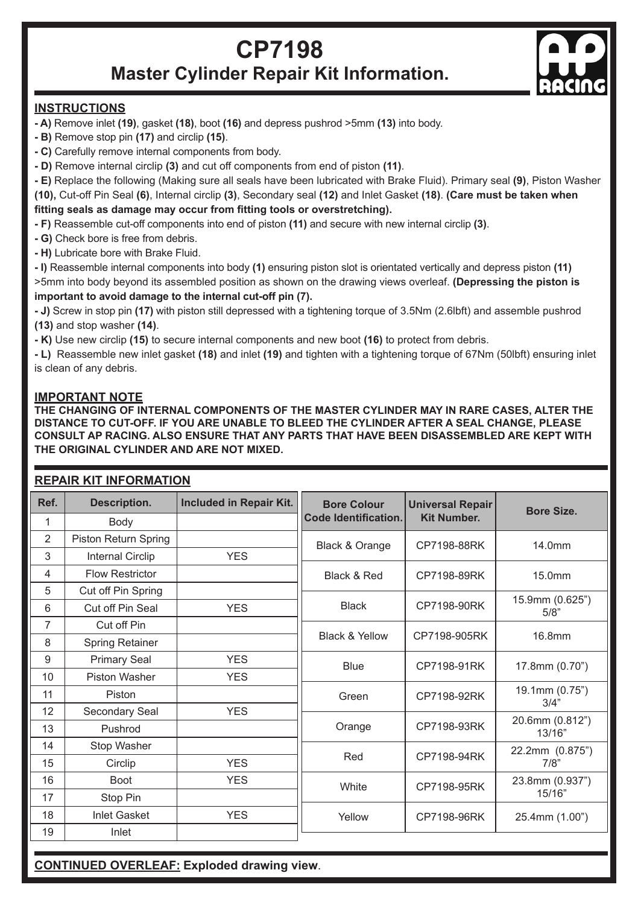## **CP7198 Master Cylinder Repair Kit Information.**



## **INSTRUCTIONS**

- **A)** Remove inlet **(19)**, gasket **(18)**, boot **(16)** and depress pushrod >5mm **(13)** into body.
- **B)** Remove stop pin **(17)** and circlip **(15)**.
- **C)** Carefully remove internal components from body.
- **D)** Remove internal circlip **(3)** and cut off components from end of piston **(11)**.
- **E)** Replace the following (Making sure all seals have been lubricated with Brake Fluid). Primary seal **(9)**, Piston Washer

**(10),** Cut-off Pin Seal **(6)**, Internal circlip **(3)**, Secondary seal **(12)** and Inlet Gasket **(18)**. **(Care must be taken when fitting seals as damage may occur from fitting tools or overstretching).**

**- F)** Reassemble cut-off components into end of piston **(11)** and secure with new internal circlip **(3)**.

- **G)** Check bore is free from debris.
- **H)** Lubricate bore with Brake Fluid.

**- I)** Reassemble internal components into body **(1)** ensuring piston slot is orientated vertically and depress piston **(11)** >5mm into body beyond its assembled position as shown on the drawing views overleaf. **(Depressing the piston is important to avoid damage to the internal cut-off pin (7).**

**- J)** Screw in stop pin **(17)** with piston still depressed with a tightening torque of 3.5Nm (2.6lbft) and assemble pushrod **(13)** and stop washer **(14)**.

**- K)** Use new circlip **(15)** to secure internal components and new boot **(16)** to protect from debris.

**- L)** Reassemble new inlet gasket **(18)** and inlet **(19)** and tighten with a tightening torque of 67Nm (50lbft) ensuring inlet is clean of any debris.

## **IMPORTANT NOTE**

**THE CHANGING OF INTERNAL COMPONENTS OF THE MASTER CYLINDER MAY IN RARE CASES, ALTER THE DISTANCE TO CUT-OFF. IF YOU ARE UNABLE TO BLEED THE CYLINDER AFTER A SEAL CHANGE, PLEASE CONSULT AP RACING. ALSO ENSURE THAT ANY PARTS THAT HAVE BEEN DISASSEMBLED ARE KEPT WITH THE ORIGINAL CYLINDER AND ARE NOT MIXED.**

## **REPAIR KIT INFORMATION**

| Ref.           | Description.            | Included in Repair Kit. | <b>Bore Colour</b>        | <b>Universal Repair</b> | Bore Size.                |
|----------------|-------------------------|-------------------------|---------------------------|-------------------------|---------------------------|
| 1              | Body                    |                         | Code Identification.      | <b>Kit Number.</b>      |                           |
| $\overline{2}$ | Piston Return Spring    |                         | Black & Orange            | CP7198-88RK             | 14.0mm                    |
| 3              | <b>Internal Circlip</b> | <b>YES</b>              |                           |                         |                           |
| 4              | <b>Flow Restrictor</b>  |                         | Black & Red               | CP7198-89RK             | 15.0mm                    |
| 5              | Cut off Pin Spring      |                         |                           |                         |                           |
| 6              | Cut off Pin Seal        | <b>YES</b>              | Black                     | CP7198-90RK             | 15.9mm (0.625")<br>5/8"   |
| $\overline{7}$ | Cut off Pin             |                         | <b>Black &amp; Yellow</b> | CP7198-905RK            | 16.8mm                    |
| 8              | <b>Spring Retainer</b>  |                         |                           |                         |                           |
| 9              | <b>Primary Seal</b>     | <b>YES</b>              | <b>Blue</b>               | CP7198-91RK             | 17.8mm (0.70")            |
| 10             | Piston Washer           | <b>YES</b>              |                           |                         |                           |
| 11             | Piston                  |                         | Green                     | CP7198-92RK             | 19.1mm (0.75")<br>3/4"    |
| 12             | Secondary Seal          | <b>YES</b>              |                           |                         | 20.6mm (0.812")           |
| 13             | Pushrod                 |                         | Orange                    | CP7198-93RK             | 13/16"                    |
| 14             | Stop Washer             |                         | Red                       | CP7198-94RK             | 22.2mm (0.875")<br>7/8"   |
| 15             | Circlip                 | <b>YES</b>              |                           |                         |                           |
| 16             | <b>Boot</b>             | <b>YES</b>              | White                     | CP7198-95RK             | 23.8mm (0.937")<br>15/16" |
| 17             | Stop Pin                |                         |                           |                         |                           |
| 18             | <b>Inlet Gasket</b>     | <b>YES</b>              | Yellow                    | CP7198-96RK             | 25.4mm (1.00")            |
| 19             | Inlet                   |                         |                           |                         |                           |

**CONTINUED OVERLEAF: Exploded drawing view**.